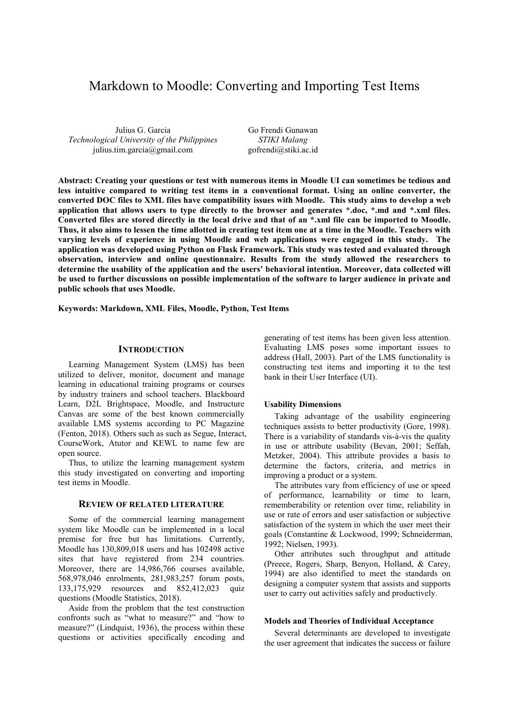# Markdown to Moodle: Converting and Importing Test Items

Julius G. Garcia *Technological University of the Philippines* julius.tim.garcia@gmail.com

Go Frendi Gunawan *STIKI Malang* gofrendi@stiki.ac.id

**Abstract: Creating your questions or test with numerous items in Moodle UI can sometimes be tedious and less intuitive compared to writing test items in a conventional format. Using an online converter, the converted DOC files to XML files have compatibility issues with Moodle. This study aims to develop a web application that allows users to type directly to the browser and generates \*.doc, \*.md and \*.xml files. Converted files are stored directly in the local drive and that of an \*.xml file can be imported to Moodle. Thus, it also aims to lessen the time allotted in creating test item one at a time in the Moodle. Teachers with varying levels of experience in using Moodle and web applications were engaged in this study. The application was developed using Python on Flask Framework. This study was tested and evaluated through observation, interview and online questionnaire. Results from the study allowed the researchers to determine the usability of the application and the users' behavioral intention. Moreover, data collected will be used to further discussions on possible implementation of the software to larger audience in private and public schools that uses Moodle.** 

**Keywords: Markdown, XML Files, Moodle, Python, Test Items** 

## **INTRODUCTION**

Learning Management System (LMS) has been utilized to deliver, monitor, document and manage learning in educational training programs or courses by industry trainers and school teachers. Blackboard Learn, D2L Brightspace, Moodle, and Instructure Canvas are some of the best known commercially available LMS systems according to PC Magazine (Fenton, 2018). Others such as such as Segue, Interact, CourseWork, Atutor and KEWL to name few are open source.

Thus, to utilize the learning management system this study investigated on converting and importing test items in Moodle.

## **REVIEW OF RELATED LITERATURE**

Some of the commercial learning management system like Moodle can be implemented in a local premise for free but has limitations. Currently, Moodle has 130,809,018 users and has 102498 active sites that have registered from 234 countries. Moreover, there are 14,986,766 courses available, 568,978,046 enrolments, 281,983,257 forum posts, 133,175,929 resources and 852,412,023 quiz questions (Moodle Statistics, 2018).

Aside from the problem that the test construction confronts such as "what to measure?" and "how to measure?" (Lindquist, 1936), the process within these questions or activities specifically encoding and

generating of test items has been given less attention. Evaluating LMS poses some important issues to address (Hall, 2003). Part of the LMS functionality is constructing test items and importing it to the test bank in their User Interface (UI).

#### **Usability Dimensions**

Taking advantage of the usability engineering techniques assists to better productivity (Gore, 1998). There is a variability of standards vis-à-vis the quality in use or attribute usability (Bevan, 2001; Seffah, Metzker, 2004). This attribute provides a basis to determine the factors, criteria, and metrics in improving a product or a system.

The attributes vary from efficiency of use or speed of performance, learnability or time to learn, rememberability or retention over time, reliability in use or rate of errors and user satisfaction or subjective satisfaction of the system in which the user meet their goals (Constantine & Lockwood, 1999; Schneiderman, 1992; Nielsen, 1993).

Other attributes such throughput and attitude (Preece, Rogers, Sharp, Benyon, Holland, & Carey, 1994) are also identified to meet the standards on designing a computer system that assists and supports user to carry out activities safely and productively.

## **Models and Theories of Individual Acceptance**

Several determinants are developed to investigate the user agreement that indicates the success or failure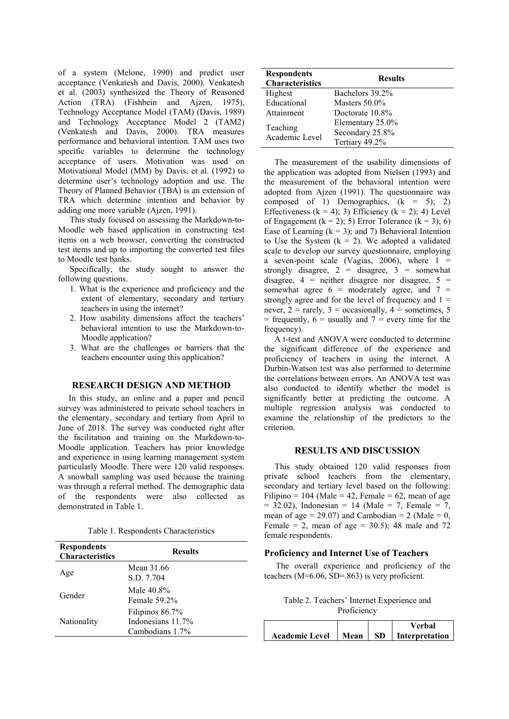of a system (Melone, 1990) and predict user acceptance (Venkatesh and Davis, 2000). Venkatesh et al. (2003) synthesized the Theory of Reasoned Action (TRA) (Fishbein and Ajzen, 1975), Technology Acceptance Model (TAM) (Davis, 1989) and Technology Acceptance Model 2 (TAM2) (Venkatesh and Davis, 2000). TRA measures performance and behavioral intention. TAM uses two specific variables to determine the technology acceptance of users. Motivation was used on Motivational Model (MM) by Davis, et al. (1992) to determine user's technology adoption and use. The Theory of Planned Behavior (TBA) is an extension of TRA which determine intention and behavior by adding one more variable (Ajzen, 1991).

This study focused on assessing the Markdown-to-Moodle web based application in constructing test items on a web browser, converting the constructed test items and up to importing the converted test files to Moodle test banks.

Specifically, the study sought to answer the following questions.

- 1. What is the experience and proficiency and the extent of elementary, secondary and tertiary teachers in using the internet?
- 2. How usability dimensions affect the teachers' behavioral intention to use the Markdown-to-Moodle application?
- 3. What are the challenges or barriers that the teachers encounter using this application?

## **RESEARCH DESIGN AND METHOD**

In this study, an online and a paper and pencil survey was administered to private school teachers in the elementary, secondary and tertiary from April to June of 2018. The survey was conducted right after the facilitation and training on the Markdown-to-Moodle application. Teachers has prior knowledge and experience in using learning management system particularly Moodle. There were 120 valid responses. A snowball sampling was used because the training was through a referral method. The demographic data of the respondents were also collected as demonstrated in Table 1.

Table 1. Respondents Characteristics

| <b>Respondents</b><br><b>Characteristics</b> | <b>Results</b>                                          |
|----------------------------------------------|---------------------------------------------------------|
| Age                                          | Mean 31.66<br>S.D. 7.704                                |
| Gender                                       | Male 40.8%<br>Female $59.2\%$                           |
| Nationality                                  | Filipinos 86.7%<br>Indonesians 11.7%<br>Cambodians 1.7% |

| <b>Respondents</b><br><b>Characteristics</b> | <b>Results</b>   |
|----------------------------------------------|------------------|
| Highest                                      | Bachelors 39.2%  |
| Educational                                  | Masters $50.0\%$ |
| Attainment                                   | Doctorate 10.8%  |
|                                              | Elementary 25.0% |
| Teaching<br>Academic Level                   | Secondary 25.8%  |
|                                              | Tertiary 49.2%   |

The measurement of the usability dimensions of the application was adopted from Nielsen (1993) and the measurement of the behavioral intention were adopted from Ajzen (1991). The questionnaire was composed of 1) Demographics,  $(k = 5)$ ; 2) Effectiveness ( $k = 4$ ); 3) Efficiency ( $k = 2$ ); 4) Level of Engagement  $(k = 2)$ ; 5) Error Tolerance  $(k = 3)$ ; 6) Ease of Learning  $(k = 3)$ ; and 7) Behavioral Intention to Use the System  $(k = 2)$ . We adopted a validated scale to develop our survey questionnaire, employing a seven-point scale (Vagias, 2006), where  $1 =$ strongly disagree,  $2 = \text{disagree}$ ,  $3 = \text{somewhat}$ disagree,  $4$  = neither disagree nor disagree,  $5$  = somewhat agree  $6 =$  moderately agree, and  $7 =$ strongly agree and for the level of frequency and  $1 =$ never,  $2 = \text{rarely}, 3 = \text{occasionally}, 4 = \text{sometimes}, 5$  $=$  frequently,  $6 =$  usually and  $7 =$  every time for the frequency).

A t-test and ANOVA were conducted to determine the significant difference of the experience and proficiency of teachers in using the internet. A Durbin-Watson test was also performed to determine the correlations between errors. An ANOVA test was also conducted to identify whether the model is significantly better at predicting the outcome. A multiple regression analysis was conducted to examine the relationship of the predictors to the criterion.

## **RESULTS AND DISCUSSION**

This study obtained 120 valid responses from private school teachers from the elementary, secondary and tertiary level based on the following: Filipino = 104 (Male = 42, Female = 62, mean of age  $= 32.02$ ), Indonesian = 14 (Male = 7, Female = 7, mean of age = 29.07) and Cambodian = 2 (Male =  $0$ , Female = 2, mean of age = 30.5); 48 male and 72 female respondents.

#### **Proficiency and Internet Use of Teachers**

The overall experience and proficiency of the teachers (M=6.06, SD=.863) is very proficient.

Table 2. Teachers' Internet Experience and Proficiency

|                       |        |      | Verbal         |
|-----------------------|--------|------|----------------|
| <b>Academic Level</b> | Mean 1 | -SD- | Interpretation |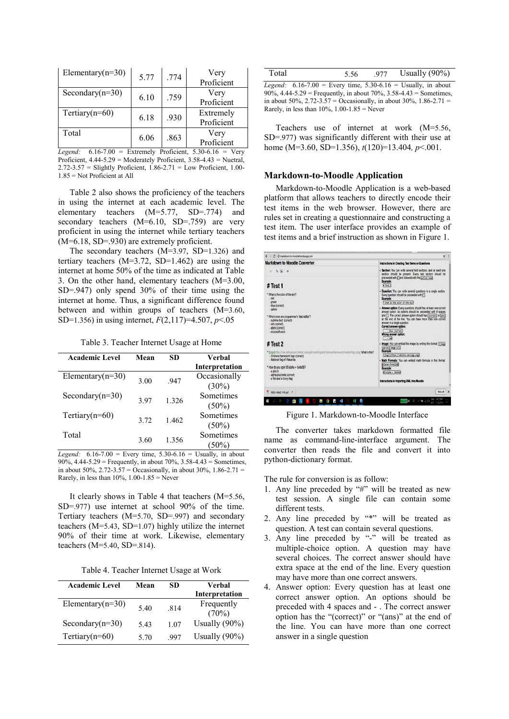| Elementary( $n=30$ ) | 5.77 | .774 | Very<br>Proficient      |
|----------------------|------|------|-------------------------|
| Secondary $(n=30)$   | 6.10 | .759 | Very<br>Proficient      |
| Tertiary $(n=60)$    | 6.18 | .930 | Extremely<br>Proficient |
| Total                | 6.06 | .863 | Very<br>Proficient      |

*Legend:* 6.16-7.00 = Extremely Proficient, 5.30-6.16 = Very Proficient, 4.44-5.29 = Moderately Proficient, 3.58-4.43 = Nuetral,  $2.72-3.57$  = Slightly Proficient,  $1.86-2.71$  = Low Proficient,  $1.00-$ 1.85 = Not Proficient at All

Table 2 also shows the proficiency of the teachers in using the internet at each academic level. The elementary teachers (M=5.77, SD=.774) and secondary teachers (M=6.10, SD=.759) are very proficient in using the internet while tertiary teachers (M=6.18, SD=.930) are extremely proficient.

The secondary teachers (M=3.97, SD=1.326) and tertiary teachers  $(M=3.72, SD=1.462)$  are using the internet at home 50% of the time as indicated at Table 3. On the other hand, elementary teachers (M=3.00, SD=.947) only spend 30% of their time using the internet at home. Thus, a significant difference found between and within groups of teachers (M=3.60, SD=1.356) in using internet, *F*(2,117)=4.507, *p*<.05

Table 3. Teacher Internet Usage at Home

| <b>Academic Level</b> | Mean          | SD    | Verbal         |
|-----------------------|---------------|-------|----------------|
|                       |               |       | Interpretation |
| Elementary $(n=30)$   |               |       | Occasionally   |
|                       | 3.00<br>.947  |       | $(30\%)$       |
| Secondary $(n=30)$    |               |       | Sometimes      |
|                       | 3.97<br>1.326 |       | $(50\%)$       |
| Tertiary $(n=60)$     |               |       | Sometimes      |
|                       | 3.72<br>1.462 |       | $(50\%)$       |
| Total                 |               |       | Sometimes      |
|                       | 3.60          | 1.356 | 50%)           |

*Legend:*  $6.16 - 7.00 =$  Every time,  $5.30 - 6.16 =$  Usually, in about 90%, 4.44-5.29 = Frequently, in about 70%, 3.58-4.43 = Sometimes, in about 50%,  $2.72 - 3.57 =$  Occasionally, in about 30%,  $1.86 - 2.71 =$ Rarely, in less than  $10\%$ ,  $1.00-1.85$  = Never

It clearly shows in Table 4 that teachers (M=5.56, SD=.977) use internet at school 90% of the time. Tertiary teachers (M=5.70, SD=.997) and secondary teachers (M=5.43, SD=1.07) highly utilize the internet 90% of their time at work. Likewise, elementary teachers (M=5.40, SD=.814).

Table 4. Teacher Internet Usage at Work

| <b>Academic Level</b> | Mean | SD.  | Verbal<br>Interpretation |
|-----------------------|------|------|--------------------------|
| Elementary $(n=30)$   | 5.40 | .814 | Frequently<br>(70%)      |
| Secondary $(n=30)$    | 5.43 | 1.07 | Usually $(90\%)$         |
| Tertiary $(n=60)$     | 5.70 | -997 | Usually $(90\%)$         |

| Total | 5.56 | 977 | Usually $(90\%)$                                                          |
|-------|------|-----|---------------------------------------------------------------------------|
|       |      |     | <i>Legend</i> : $6.16-7.00$ = Every time, $5.30-6.16$ = Usually, in about |
|       |      |     | 90%, $4.44 - 5.29$ = Frequently, in about 70%, $3.58 - 4.43$ = Sometimes, |
|       |      |     | in about 50%, $2.72 - 3.57 =$ Occasionally, in about 30%, 1.86-2.71 =     |

Rarely, in less than  $10\%$ ,  $1.00-1.85$  = Never Teachers use of internet at work (M=5.56,

SD=.977) was significantly different with their use at home (M=3.60, SD=1.356), *t*(120)=13.404*, p*<.001.

### **Markdown-to-Moodle Application**

Markdown-to-Moodle Application is a web-based platform that allows teachers to directly encode their test items in the web browser. However, there are rules set in creating a questionnaire and constructing a test item. The user interface provides an example of test items and a brief instruction as shown in Figure 1.

| C: @ markdown-to-moodle/terpicago.com                                                                                                                                                                                                                                                                                                                                                                                                                                                                                                                              | $\dot{q}$                                                                                                                                                                                                                                                                                                                                                                                                                                                                                                                                                                                                                                                                                                                                                                                                                                                                                                                                                                                                                                                                                           |
|--------------------------------------------------------------------------------------------------------------------------------------------------------------------------------------------------------------------------------------------------------------------------------------------------------------------------------------------------------------------------------------------------------------------------------------------------------------------------------------------------------------------------------------------------------------------|-----------------------------------------------------------------------------------------------------------------------------------------------------------------------------------------------------------------------------------------------------------------------------------------------------------------------------------------------------------------------------------------------------------------------------------------------------------------------------------------------------------------------------------------------------------------------------------------------------------------------------------------------------------------------------------------------------------------------------------------------------------------------------------------------------------------------------------------------------------------------------------------------------------------------------------------------------------------------------------------------------------------------------------------------------------------------------------------------------|
| Markdown to Moodle Converter<br>#Test 1<br>"What is the color of the sky?<br>$-10d$<br>$-$ cross<br>- blue (correct)<br>- velou<br>* Which ones are programmer's "text editor"?<br>- sublime text (correct)<br>- vim (correct)<br>- atom (correct)<br>- microsoft word<br>#Test 2<br>* BogoEhltps Jihan gittsbusecoottest comigni rend/kigardictimum it amenotic music loon prigi What is this?<br>- Chimera framework logo (correct)<br>- National flag of Wakanda<br>* How do you spell \$\$ alpha + ibeta\$\$?<br>$-0$ that $b$<br>- alpha plus bella (correct) | Instructions in Creating Test Items or Questions<br>Section: You can write several fest sections, and at least one<br>secton should be present. Every test section should be<br>preceeded with a jand followed with the paction name<br>Example:<br>$F$ fest $2$<br>. Question: You can write several guestons in a single section.<br>Every question should be preceeded with F1<br>Example:<br>I shat is the color of the cay!<br>- Answer option: Every questions should has at least one correct<br>answer option. An options should be preceeded with 4 spaces.<br>and FT. The correct answer collon should has incorrect of them if<br>at the end of the line. You can have more than one correct<br>answer in a single question<br>Correct answer option:<br>- Kur (correct)<br>Wrong answer option:<br>$-700$<br>. Image: You can embed the image by writing this format [11] ways<br>caption)(leage uris)<br>Example:<br>Illugationtes crivessite.com/lage.prg)<br>. Math Formula: You can ented math formula in this format<br><b>Silatax-formulaid</b><br>Example:<br>35 slote + theteld |
| - a fish and a funny flag<br>1003-3642-1-Red - ^                                                                                                                                                                                                                                                                                                                                                                                                                                                                                                                   | Instructions in Importing XML into Moodle<br><b>Store all</b>                                                                                                                                                                                                                                                                                                                                                                                                                                                                                                                                                                                                                                                                                                                                                                                                                                                                                                                                                                                                                                       |

Figure 1. Markdown-to-Moodle Interface

The converter takes markdown formatted file name as command-line-interface argument. The converter then reads the file and convert it into python-dictionary format.

The rule for conversion is as follow:

- 1. Any line preceded by "#" will be treated as new test session. A single file can contain some different tests.
- 2. Any line preceded by "\*" will be treated as question. A test can contain several questions.
- 3. Any line preceded by "-" will be treated as multiple-choice option. A question may have several choices. The correct answer should have extra space at the end of the line. Every question may have more than one correct answers.
- 4. Answer option: Every question has at least one correct answer option. An options should be preceded with 4 spaces and - . The correct answer option has the "(correct)" or "(ans)" at the end of the line. You can have more than one correct answer in a single question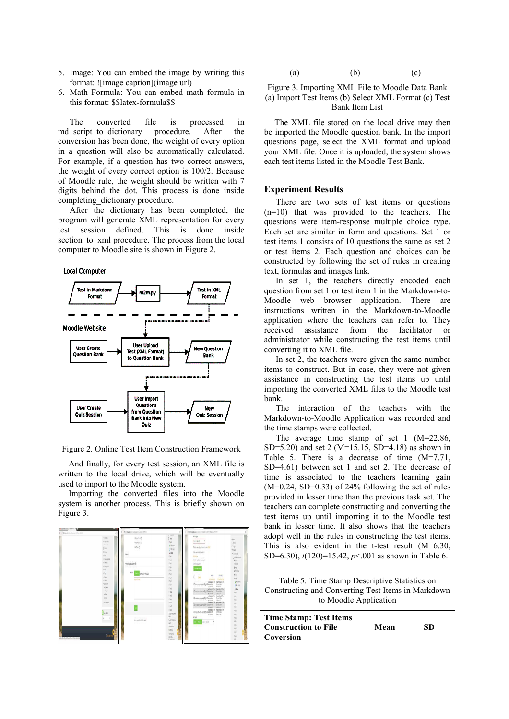- 5. Image: You can embed the image by writing this format: ![image caption](image url)
- 6. Math Formula: You can embed math formula in this format: \$\$latex-formula\$\$

The converted file is processed in md script to dictionary procedure. After the conversion has been done, the weight of every option in a question will also be automatically calculated. For example, if a question has two correct answers, the weight of every correct option is 100/2. Because of Moodle rule, the weight should be written with 7 digits behind the dot. This process is done inside completing dictionary procedure.

After the dictionary has been completed, the program will generate XML representation for every test session defined. This is done inside section to xml procedure. The process from the local computer to Moodle site is shown in Figure 2.

#### **Local Computer**



Figure 2. Online Test Item Construction Framework

And finally, for every test session, an XML file is written to the local drive, which will be eventually used to import to the Moodle system.

Importing the converted files into the Moodle system is another process. This is briefly shown on Figure 3.



(a) (b) (c)

Figure 3. Importing XML File to Moodle Data Bank (a) Import Test Items (b) Select XML Format (c) Test Bank Item List

The XML file stored on the local drive may then be imported the Moodle question bank. In the import questions page, select the XML format and upload your XML file. Once it is uploaded, the system shows each test items listed in the Moodle Test Bank.

## **Experiment Results**

There are two sets of test items or questions (n=10) that was provided to the teachers. The questions were item-response multiple choice type. Each set are similar in form and questions. Set 1 or test items 1 consists of 10 questions the same as set 2 or test items 2. Each question and choices can be constructed by following the set of rules in creating text, formulas and images link.

In set 1, the teachers directly encoded each question from set 1 or test item 1 in the Markdown-to-Moodle web browser application. There are instructions written in the Markdown-to-Moodle application where the teachers can refer to. They received assistance from the facilitator or administrator while constructing the test items until converting it to XML file.

In set 2, the teachers were given the same number items to construct. But in case, they were not given assistance in constructing the test items up until importing the converted XML files to the Moodle test bank.

The interaction of the teachers with the Markdown-to-Moodle Application was recorded and the time stamps were collected.

The average time stamp of set 1 (M=22.86, SD=5.20) and set 2 (M=15.15, SD=4.18) as shown in Table 5. There is a decrease of time (M=7.71, SD=4.61) between set 1 and set 2. The decrease of time is associated to the teachers learning gain  $(M=0.24, SD=0.33)$  of 24% following the set of rules provided in lesser time than the previous task set. The teachers can complete constructing and converting the test items up until importing it to the Moodle test bank in lesser time. It also shows that the teachers adopt well in the rules in constructing the test items. This is also evident in the t-test result (M=6.30, SD=6.30), *t*(120)=15.42, *p*<.001 as shown in Table 6.

Table 5. Time Stamp Descriptive Statistics on Constructing and Converting Test Items in Markdown to Moodle Application

| <b>Time Stamp: Test Items</b> |      |     |
|-------------------------------|------|-----|
| <b>Construction to File</b>   | Mean | SD. |
| Coversion                     |      |     |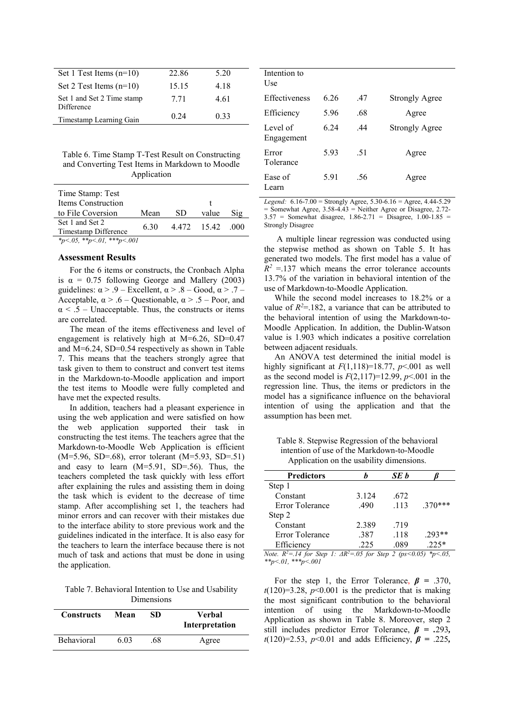| Set 1 Test Items $(n=10)$  | 22.86 | 5.20 |  |
|----------------------------|-------|------|--|
| Set 2 Test Items $(n=10)$  | 15.15 | 4.18 |  |
| Set 1 and Set 2 Time stamp | 7.71  | 4.61 |  |
| Difference                 |       |      |  |
| Timestamp Learning Gain    | 0.24  | 0.33 |  |

Table 6. Time Stamp T-Test Result on Constructing and Converting Test Items in Markdown to Moodle Application

| Time Stamp: Test           |      |    |                  |     |
|----------------------------|------|----|------------------|-----|
| Items Construction         |      |    |                  |     |
| to File Coversion          | Mean | SD | value            | Sig |
| Set 1 and Set 2            | 6.30 |    | 4.472 15.42 .000 |     |
| Timestamp Difference       |      |    |                  |     |
| *p<.05, **p<.01, ***p<.001 |      |    |                  |     |

## **Assessment Results**

For the 6 items or constructs, the Cronbach Alpha is  $\alpha = 0.75$  following George and Mallery (2003) guidelines:  $\alpha$  > .9 – Excellent,  $\alpha$  > .8 – Good,  $\alpha$  > .7 – Acceptable,  $\alpha > .6$  – Questionable,  $\alpha > .5$  – Poor, and  $\alpha$  < .5 – Unacceptable. Thus, the constructs or items are correlated.

The mean of the items effectiveness and level of engagement is relatively high at M=6.26, SD=0.47 and M=6.24, SD=0.54 respectively as shown in Table 7. This means that the teachers strongly agree that task given to them to construct and convert test items in the Markdown-to-Moodle application and import the test items to Moodle were fully completed and have met the expected results.

In addition, teachers had a pleasant experience in using the web application and were satisfied on how the web application supported their task in constructing the test items. The teachers agree that the Markdown-to-Moodle Web Application is efficient (M=5.96, SD=.68), error tolerant (M=5.93, SD=.51) and easy to learn (M=5.91, SD=.56). Thus, the teachers completed the task quickly with less effort after explaining the rules and assisting them in doing the task which is evident to the decrease of time stamp. After accomplishing set 1, the teachers had minor errors and can recover with their mistakes due to the interface ability to store previous work and the guidelines indicated in the interface. It is also easy for the teachers to learn the interface because there is not much of task and actions that must be done in using the application.

Table 7. Behavioral Intention to Use and Usability Dimensions

| <b>Constructs</b> | Mean | SD  | Verbal<br>Interpretation |
|-------------------|------|-----|--------------------------|
| <b>Behavioral</b> | 6.03 | .68 | Agree                    |

| Intention to<br>Use.   |      |     |                       |
|------------------------|------|-----|-----------------------|
| Effectiveness          | 6.26 | .47 | <b>Strongly Agree</b> |
| Efficiency             | 5.96 | .68 | Agree                 |
| Level of<br>Engagement | 6 24 | .44 | Strongly Agree        |
| Error<br>Tolerance     | 5.93 | .51 | Agree                 |
| Ease of<br>Learn       | 5.91 | .56 | Agree                 |

*Legend:* 6.16-7.00 = Strongly Agree, 5.30-6.16 = Agree, 4.44-5.29  $=$  Somewhat Agree, 3.58-4.43  $=$  Neither Agree or Disagree, 2.72-3.57 = Somewhat disagree, 1.86-2.71 = Disagree, 1.00-1.85 = Strongly Disagree

 A multiple linear regression was conducted using the stepwise method as shown on Table 5. It has generated two models. The first model has a value of  $R^2$  =.137 which means the error tolerance accounts 13.7% of the variation in behavioral intention of the use of Markdown-to-Moodle Application.

While the second model increases to 18.2% or a value of  $R^2 = 182$ , a variance that can be attributed to the behavioral intention of using the Markdown-to-Moodle Application. In addition, the Dublin-Watson value is 1.903 which indicates a positive correlation between adjacent residuals.

An ANOVA test determined the initial model is highly significant at  $F(1,118)=18.77$ ,  $p<0.001$  as well as the second model is  $F(2,117)=12.99$ ,  $p<0.001$  in the regression line. Thus, the items or predictors in the model has a significance influence on the behavioral intention of using the application and that the assumption has been met.

Table 8. Stepwise Regression of the behavioral intention of use of the Markdown-to-Moodle Application on the usability dimensions.

| <b>Predictors</b>                                                                                                                                                                                                                                                                                                                         |       | SE b |                                                                                                                                                                           |
|-------------------------------------------------------------------------------------------------------------------------------------------------------------------------------------------------------------------------------------------------------------------------------------------------------------------------------------------|-------|------|---------------------------------------------------------------------------------------------------------------------------------------------------------------------------|
| Step 1                                                                                                                                                                                                                                                                                                                                    |       |      |                                                                                                                                                                           |
| Constant                                                                                                                                                                                                                                                                                                                                  | 3.124 | .672 |                                                                                                                                                                           |
| Error Tolerance                                                                                                                                                                                                                                                                                                                           | .490  | .113 | $.370***$                                                                                                                                                                 |
| Step 2                                                                                                                                                                                                                                                                                                                                    |       |      |                                                                                                                                                                           |
| Constant                                                                                                                                                                                                                                                                                                                                  | 2.389 | .719 |                                                                                                                                                                           |
| Error Tolerance                                                                                                                                                                                                                                                                                                                           | .387  | .118 | $.293**$                                                                                                                                                                  |
| Efficiency                                                                                                                                                                                                                                                                                                                                | .225  | .089 | $.225*$                                                                                                                                                                   |
| $\mathbf{v}$ , $\mathbf{v}$ , $\mathbf{v}$ , $\mathbf{v}$ , $\mathbf{v}$ , $\mathbf{v}$ , $\mathbf{v}$ , $\mathbf{v}$ , $\mathbf{v}$ , $\mathbf{v}$ , $\mathbf{v}$ , $\mathbf{v}$ , $\mathbf{v}$ , $\mathbf{v}$ , $\mathbf{v}$ , $\mathbf{v}$ , $\mathbf{v}$ , $\mathbf{v}$ , $\mathbf{v}$ , $\mathbf{v}$ , $\mathbf{v}$ , $\mathbf{v}$ , |       |      | $\Omega \subseteq \Gamma$ $\cap$ $\Omega$ $\cap$ $\Omega$ $\cap$ $\Omega$ $\cap$ $\Omega$ $\cap$ $\Omega$ $\cap$ $\Omega$ $\cap$ $\Omega$ $\cap$ $\Omega$ $\cap$ $\Omega$ |

*Note. R<sup>2</sup>=.14 for Step 1: ΔR<sup>2</sup>=.05 for Step 2 (ps<0.05) \*p<.05, \*\*p<.01, \*\*\*p<.001* 

For the step 1, the Error Tolerance, *β =* .370,  $t(120)=3.28$ ,  $p<0.001$  is the predictor that is making the most significant contribution to the behavioral intention of using the Markdown-to-Moodle Application as shown in Table 8. Moreover, step 2 still includes predictor Error Tolerance, *β = .*293*, t*(120)=2.53, *p*<0.01 and adds Efficiency, *β =* .225*,*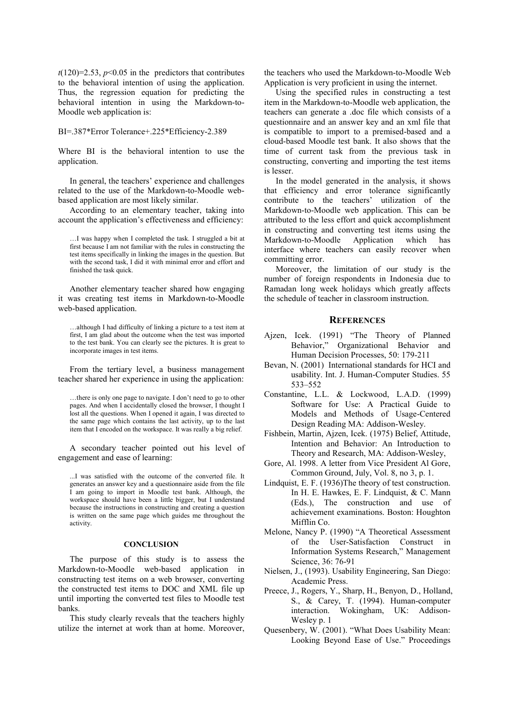$t(120)=2.53$ ,  $p<0.05$  in the predictors that contributes to the behavioral intention of using the application. Thus, the regression equation for predicting the behavioral intention in using the Markdown-to-Moodle web application is:

BI=.387\*Error Tolerance+.225\*Efficiency-2.389

Where BI is the behavioral intention to use the application.

In general, the teachers' experience and challenges related to the use of the Markdown-to-Moodle webbased application are most likely similar.

According to an elementary teacher, taking into account the application's effectiveness and efficiency:

…I was happy when I completed the task. I struggled a bit at first because I am not familiar with the rules in constructing the test items specifically in linking the images in the question. But with the second task, I did it with minimal error and effort and finished the task quick.

Another elementary teacher shared how engaging it was creating test items in Markdown-to-Moodle web-based application.

…although I had difficulty of linking a picture to a test item at first, I am glad about the outcome when the test was imported to the test bank. You can clearly see the pictures. It is great to incorporate images in test items.

From the tertiary level, a business management teacher shared her experience in using the application:

…there is only one page to navigate. I don't need to go to other pages. And when I accidentally closed the browser, I thought I lost all the questions. When I opened it again, I was directed to the same page which contains the last activity, up to the last item that I encoded on the workspace. It was really a big relief.

A secondary teacher pointed out his level of engagement and ease of learning:

...I was satisfied with the outcome of the converted file. It generates an answer key and a questionnaire aside from the file I am going to import in Moodle test bank. Although, the workspace should have been a little bigger, but I understand because the instructions in constructing and creating a question is written on the same page which guides me throughout the activity.

#### **CONCLUSION**

The purpose of this study is to assess the Markdown-to-Moodle web-based application in constructing test items on a web browser, converting the constructed test items to DOC and XML file up until importing the converted test files to Moodle test banks.

This study clearly reveals that the teachers highly utilize the internet at work than at home. Moreover, the teachers who used the Markdown-to-Moodle Web Application is very proficient in using the internet.

Using the specified rules in constructing a test item in the Markdown-to-Moodle web application, the teachers can generate a .doc file which consists of a questionnaire and an answer key and an xml file that is compatible to import to a premised-based and a cloud-based Moodle test bank. It also shows that the time of current task from the previous task in constructing, converting and importing the test items is lesser.

In the model generated in the analysis, it shows that efficiency and error tolerance significantly contribute to the teachers' utilization of the Markdown-to-Moodle web application. This can be attributed to the less effort and quick accomplishment in constructing and converting test items using the Markdown-to-Moodle Application which has interface where teachers can easily recover when committing error.

Moreover, the limitation of our study is the number of foreign respondents in Indonesia due to Ramadan long week holidays which greatly affects the schedule of teacher in classroom instruction.

#### **REFERENCES**

- Ajzen, Icek. (1991) "The Theory of Planned Behavior," Organizational Behavior and Human Decision Processes, 50: 179-211
- Bevan, N. (2001) International standards for HCI and usability. Int. J. Human-Computer Studies. 55 533–552
- Constantine, L.L. & Lockwood, L.A.D. (1999) Software for Use: A Practical Guide to Models and Methods of Usage-Centered Design Reading MA: Addison-Wesley.
- Fishbein, Martin, Ajzen, Icek. (1975) Belief, Attitude, Intention and Behavior: An Introduction to Theory and Research, MA: Addison-Wesley,
- Gore, Al. 1998. A letter from Vice President Al Gore, Common Ground, July, Vol. 8, no 3, p. 1.
- Lindquist, E. F. (1936)The theory of test construction. In H. E. Hawkes, E. F. Lindquist, & C. Mann (Eds.), The construction and use of achievement examinations. Boston: Houghton Mifflin Co.
- Melone, Nancy P. (1990) "A Theoretical Assessment of the User-Satisfaction Construct in Information Systems Research," Management Science, 36: 76-91
- Nielsen, J., (1993). Usability Engineering, San Diego: Academic Press.
- Preece, J., Rogers, Y., Sharp, H., Benyon, D., Holland, S., & Carey, T. (1994). Human-computer interaction. Wokingham, UK: Addison-Wesley p. 1
- Quesenbery, W. (2001). "What Does Usability Mean: Looking Beyond Ease of Use." Proceedings